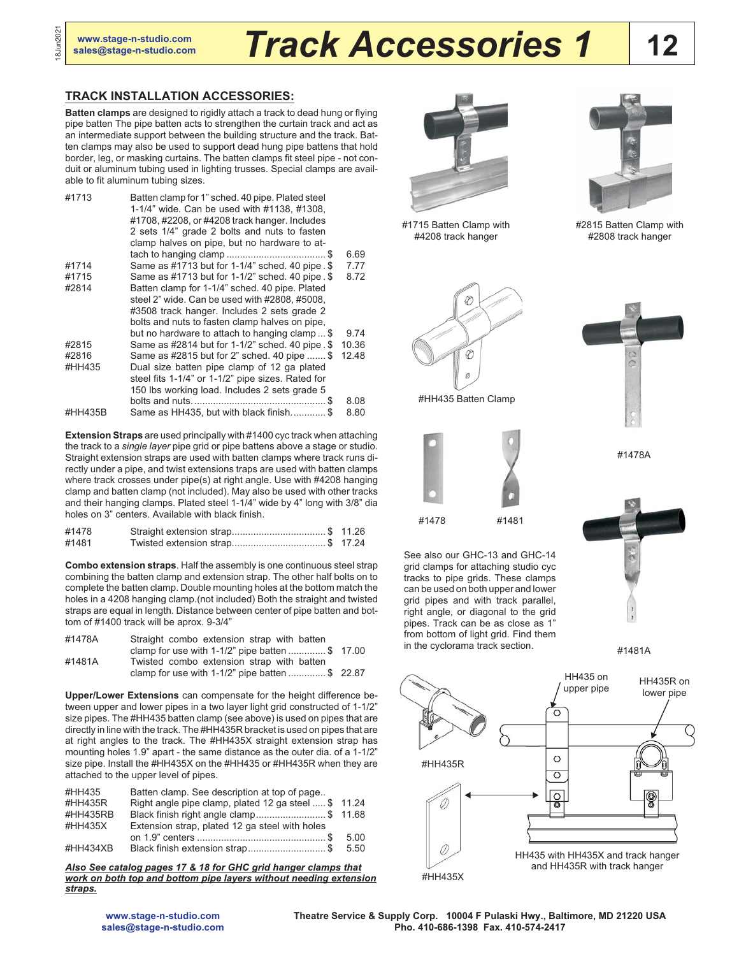18Jun2021

8Jun2021

## **[sales@stage-n-studio.com](mailto:sales@stage-n-studio.com)** *Track Accessories 1*

## **TRACK INSTALLATION ACCESSORIES:**

**Batten clamps** are designed to rigidly attach a track to dead hung or flying pipe batten The pipe batten acts to strengthen the curtain track and act as an intermediate support between the building structure and the track. Batten clamps may also be used to support dead hung pipe battens that hold border, leg, or masking curtains. The batten clamps fit steel pipe - not conduit or aluminum tubing used in lighting trusses. Special clamps are available to fit aluminum tubing sizes.

| #1713   | Batten clamp for 1" sched. 40 pipe. Plated steel<br>1-1/4" wide. Can be used with #1138, #1308,<br>#1708, #2208, or #4208 track hanger. Includes<br>2 sets 1/4" grade 2 bolts and nuts to fasten<br>clamp halves on pipe, but no hardware to at- |       |
|---------|--------------------------------------------------------------------------------------------------------------------------------------------------------------------------------------------------------------------------------------------------|-------|
|         |                                                                                                                                                                                                                                                  | 6.69  |
| #1714   | Same as #1713 but for 1-1/4" sched. 40 pipe. \$                                                                                                                                                                                                  | 7.77  |
|         |                                                                                                                                                                                                                                                  |       |
| #1715   | Same as #1713 but for 1-1/2" sched. 40 pipe. \$                                                                                                                                                                                                  | 8.72  |
| #2814   | Batten clamp for 1-1/4" sched. 40 pipe. Plated                                                                                                                                                                                                   |       |
|         | steel 2" wide. Can be used with #2808, #5008,                                                                                                                                                                                                    |       |
|         | #3508 track hanger. Includes 2 sets grade 2                                                                                                                                                                                                      |       |
|         | bolts and nuts to fasten clamp halves on pipe,                                                                                                                                                                                                   |       |
|         | but no hardware to attach to hanging clamp\$                                                                                                                                                                                                     | 9.74  |
| #2815   | Same as #2814 but for 1-1/2" sched. 40 pipe. \$                                                                                                                                                                                                  | 10.36 |
| #2816   | Same as #2815 but for 2" sched. 40 pipe  \$                                                                                                                                                                                                      | 12.48 |
| #HH435  | Dual size batten pipe clamp of 12 ga plated                                                                                                                                                                                                      |       |
|         | steel fits 1-1/4" or 1-1/2" pipe sizes. Rated for                                                                                                                                                                                                |       |
|         | 150 lbs working load. Includes 2 sets grade 5                                                                                                                                                                                                    |       |
|         |                                                                                                                                                                                                                                                  | 8.08  |
| #HH435B | Same as HH435, but with black finish\$                                                                                                                                                                                                           | 8.80  |

**Extension Straps** are used principally with #1400 cyc track when attaching the track to a *single layer* pipe grid or pipe battens above a stage or studio. Straight extension straps are used with batten clamps where track runs directly under a pipe, and twist extensions traps are used with batten clamps where track crosses under pipe(s) at right angle. Use with #4208 hanging clamp and batten clamp (not included). May also be used with other tracks and their hanging clamps. Plated steel 1-1/4" wide by 4" long with 3/8" dia holes on 3" centers. Available with black finish.

| #1478 | Straight extension strap\$ 11.26 |  |
|-------|----------------------------------|--|
| #1481 |                                  |  |

**Combo extension straps**. Half the assembly is one continuous steel strap combining the batten clamp and extension strap. The other half bolts on to complete the batten clamp. Double mounting holes at the bottom match the holes in a 4208 hanging clamp.(not included) Both the straight and twisted straps are equal in length. Distance between center of pipe batten and bottom of #1400 track will be aprox. 9-3/4"

| #1478A | Straight combo extension strap with batten        |  |
|--------|---------------------------------------------------|--|
|        | clamp for use with $1-1/2$ " pipe batten \$ 17.00 |  |
| #1481A | Twisted combo extension strap with batten         |  |
|        | clamp for use with $1-1/2$ " pipe batten \$ 22.87 |  |

**Upper/Lower Extensions** can compensate for the height difference between upper and lower pipes in a two layer light grid constructed of 1-1/2" size pipes. The #HH435 batten clamp (see above) is used on pipes that are directly in line with the track. The #HH435R bracket is used on pipes that are at right angles to the track. The #HH435X straight extension strap has mounting holes 1.9" apart - the same distance as the outer dia. of a 1-1/2" size pipe. Install the #HH435X on the #HH435 or #HH435R when they are attached to the upper level of pipes.

| #HH435   | Batten clamp. See description at top of page        |      |
|----------|-----------------------------------------------------|------|
| #HH435R  | Right angle pipe clamp, plated 12 ga steel  \$11.24 |      |
| #HH435RB | Black finish right angle clamp\$ 11.68              |      |
| #HH435X  | Extension strap, plated 12 ga steel with holes      |      |
|          |                                                     | 5.00 |
| #HH434XB | Black finish extension strap\$                      | 5.50 |

*Also See catalog pages 17 & 18 for GHC grid hanger clamps that work on both top and bottom pipe layers without needing extension straps.*







**12**

#2815 Batten Clamp with #2808 track hanger



#HH435 Batten Clamp



See also our GHC-13 and GHC-14 grid clamps for attaching studio cyc tracks to pipe grids. These clamps can be used on both upper and lower grid pipes and with track parallel, right angle, or diagonal to the grid pipes. Track can be as close as 1" from bottom of light grid. Find them in the cyclorama track section.



#1478A



#1481A



**[www.stage-n-studio.com](http://www.stage-n-studio.com) [sales@stage-n-studio.com](mailto:sales@stage-n-studio.com)** **Theatre Service & Supply Corp. 10004 F Pulaski Hwy., Baltimore, MD 21220 USA Pho. 410-686-1398 Fax. 410-574-2417**